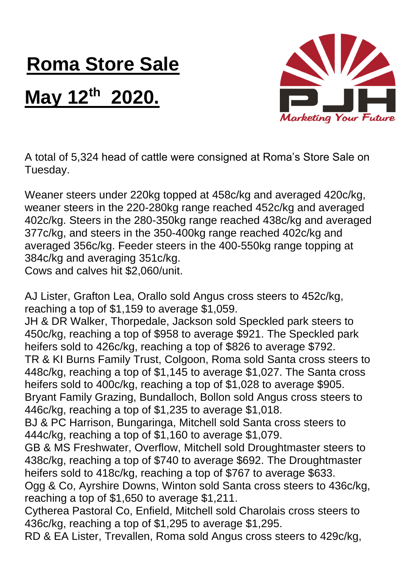## **Roma Store Sale**

## **May 12th 2020.**



A total of 5,324 head of cattle were consigned at Roma's Store Sale on Tuesday.

Weaner steers under 220kg topped at 458c/kg and averaged 420c/kg, weaner steers in the 220-280kg range reached 452c/kg and averaged 402c/kg. Steers in the 280-350kg range reached 438c/kg and averaged 377c/kg, and steers in the 350-400kg range reached 402c/kg and averaged 356c/kg. Feeder steers in the 400-550kg range topping at 384c/kg and averaging 351c/kg. Cows and calves hit \$2,060/unit.

AJ Lister, Grafton Lea, Orallo sold Angus cross steers to 452c/kg, reaching a top of \$1,159 to average \$1,059.

JH & DR Walker, Thorpedale, Jackson sold Speckled park steers to 450c/kg, reaching a top of \$958 to average \$921. The Speckled park heifers sold to 426c/kg, reaching a top of \$826 to average \$792. TR & KI Burns Family Trust, Colgoon, Roma sold Santa cross steers to 448c/kg, reaching a top of \$1,145 to average \$1,027. The Santa cross heifers sold to 400c/kg, reaching a top of \$1,028 to average \$905. Bryant Family Grazing, Bundalloch, Bollon sold Angus cross steers to 446c/kg, reaching a top of \$1,235 to average \$1,018.

BJ & PC Harrison, Bungaringa, Mitchell sold Santa cross steers to 444c/kg, reaching a top of \$1,160 to average \$1,079.

GB & MS Freshwater, Overflow, Mitchell sold Droughtmaster steers to 438c/kg, reaching a top of \$740 to average \$692. The Droughtmaster heifers sold to 418c/kg, reaching a top of \$767 to average \$633. Ogg & Co, Ayrshire Downs, Winton sold Santa cross steers to 436c/kg,

reaching a top of \$1,650 to average \$1,211.

Cytherea Pastoral Co, Enfield, Mitchell sold Charolais cross steers to 436c/kg, reaching a top of \$1,295 to average \$1,295.

RD & EA Lister, Trevallen, Roma sold Angus cross steers to 429c/kg,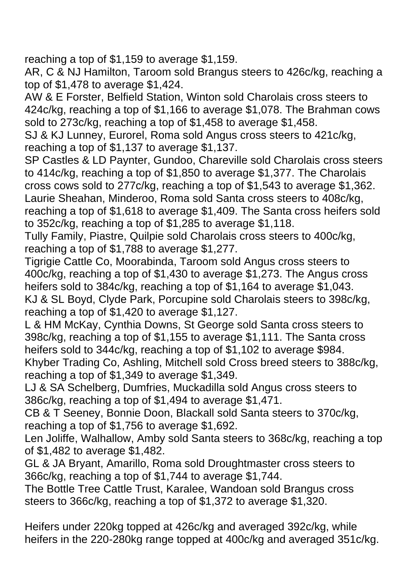reaching a top of \$1,159 to average \$1,159.

AR, C & NJ Hamilton, Taroom sold Brangus steers to 426c/kg, reaching a top of \$1,478 to average \$1,424.

AW & E Forster, Belfield Station, Winton sold Charolais cross steers to 424c/kg, reaching a top of \$1,166 to average \$1,078. The Brahman cows sold to 273c/kg, reaching a top of \$1,458 to average \$1,458.

SJ & KJ Lunney, Eurorel, Roma sold Angus cross steers to 421c/kg, reaching a top of \$1,137 to average \$1,137.

SP Castles & LD Paynter, Gundoo, Chareville sold Charolais cross steers to 414c/kg, reaching a top of \$1,850 to average \$1,377. The Charolais cross cows sold to 277c/kg, reaching a top of \$1,543 to average \$1,362. Laurie Sheahan, Minderoo, Roma sold Santa cross steers to 408c/kg, reaching a top of \$1,618 to average \$1,409. The Santa cross heifers sold to 352c/kg, reaching a top of \$1,285 to average \$1,118.

Tully Family, Piastre, Quilpie sold Charolais cross steers to 400c/kg, reaching a top of \$1,788 to average \$1,277.

Tigrigie Cattle Co, Moorabinda, Taroom sold Angus cross steers to 400c/kg, reaching a top of \$1,430 to average \$1,273. The Angus cross heifers sold to 384c/kg, reaching a top of \$1,164 to average \$1,043. KJ & SL Boyd, Clyde Park, Porcupine sold Charolais steers to 398c/kg, reaching a top of \$1,420 to average \$1,127.

L & HM McKay, Cynthia Downs, St George sold Santa cross steers to 398c/kg, reaching a top of \$1,155 to average \$1,111. The Santa cross heifers sold to 344c/kg, reaching a top of \$1,102 to average \$984.

Khyber Trading Co, Ashling, Mitchell sold Cross breed steers to 388c/kg, reaching a top of \$1,349 to average \$1,349.

LJ & SA Schelberg, Dumfries, Muckadilla sold Angus cross steers to 386c/kg, reaching a top of \$1,494 to average \$1,471.

CB & T Seeney, Bonnie Doon, Blackall sold Santa steers to 370c/kg, reaching a top of \$1,756 to average \$1,692.

Len Joliffe, Walhallow, Amby sold Santa steers to 368c/kg, reaching a top of \$1,482 to average \$1,482.

GL & JA Bryant, Amarillo, Roma sold Droughtmaster cross steers to 366c/kg, reaching a top of \$1,744 to average \$1,744.

The Bottle Tree Cattle Trust, Karalee, Wandoan sold Brangus cross steers to 366c/kg, reaching a top of \$1,372 to average \$1,320.

Heifers under 220kg topped at 426c/kg and averaged 392c/kg, while heifers in the 220-280kg range topped at 400c/kg and averaged 351c/kg.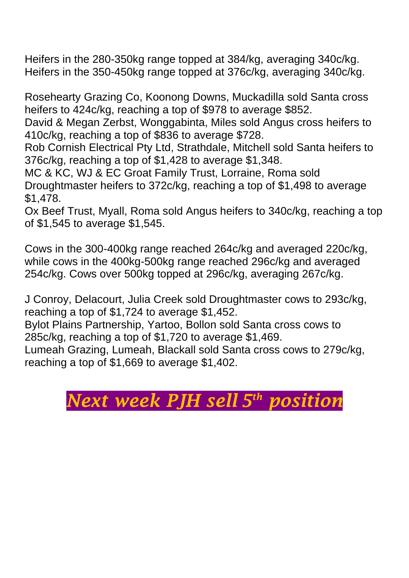Heifers in the 280-350kg range topped at 384/kg, averaging 340c/kg. Heifers in the 350-450kg range topped at 376c/kg, averaging 340c/kg.

Rosehearty Grazing Co, Koonong Downs, Muckadilla sold Santa cross heifers to 424c/kg, reaching a top of \$978 to average \$852.

David & Megan Zerbst, Wonggabinta, Miles sold Angus cross heifers to 410c/kg, reaching a top of \$836 to average \$728.

Rob Cornish Electrical Pty Ltd, Strathdale, Mitchell sold Santa heifers to 376c/kg, reaching a top of \$1,428 to average \$1,348.

MC & KC, WJ & EC Groat Family Trust, Lorraine, Roma sold Droughtmaster heifers to 372c/kg, reaching a top of \$1,498 to average \$1,478.

Ox Beef Trust, Myall, Roma sold Angus heifers to 340c/kg, reaching a top of \$1,545 to average \$1,545.

Cows in the 300-400kg range reached 264c/kg and averaged 220c/kg, while cows in the 400kg-500kg range reached 296c/kg and averaged 254c/kg. Cows over 500kg topped at 296c/kg, averaging 267c/kg.

J Conroy, Delacourt, Julia Creek sold Droughtmaster cows to 293c/kg, reaching a top of \$1,724 to average \$1,452.

Bylot Plains Partnership, Yartoo, Bollon sold Santa cross cows to 285c/kg, reaching a top of \$1,720 to average \$1,469.

Lumeah Grazing, Lumeah, Blackall sold Santa cross cows to 279c/kg, reaching a top of \$1,669 to average \$1,402.

## *Next week PJH sell 5 th position*